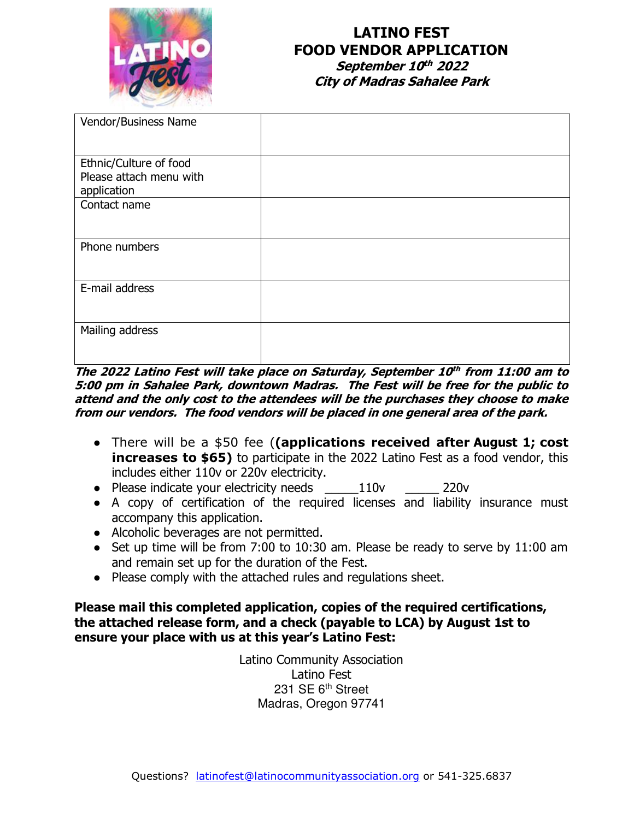

## **LATINO FEST FOOD VENDOR APPLICATION September 10 th 2022 City of Madras Sahalee Park**

| Vendor/Business Name                                             |  |
|------------------------------------------------------------------|--|
| Ethnic/Culture of food<br>Please attach menu with<br>application |  |
| Contact name                                                     |  |
| Phone numbers                                                    |  |
| E-mail address                                                   |  |
| Mailing address                                                  |  |

**The 2022 Latino Fest will take place on Saturday, September 10 th from 11:00 am to 5:00 pm in Sahalee Park, downtown Madras. The Fest will be free for the public to attend and the only cost to the attendees will be the purchases they choose to make from our vendors. The food vendors will be placed in one general area of the park.** 

- There will be a \$50 fee (**(applications received after August 1; cost increases to \$65)** to participate in the 2022 Latino Fest as a food vendor, this includes either 110v or 220v electricity.
- Please indicate your electricity needs \_\_\_\_\_110v \_\_\_\_\_ 220v
- A copy of certification of the required licenses and liability insurance must accompany this application.
- Alcoholic beverages are not permitted.
- Set up time will be from 7:00 to 10:30 am. Please be ready to serve by 11:00 am and remain set up for the duration of the Fest.
- Please comply with the attached rules and regulations sheet.

**Please mail this completed application, copies of the required certifications, the attached release form, and a check (payable to LCA) by August 1st to ensure your place with us at this year's Latino Fest:**

> Latino Community Association Latino Fest 231 SE 6<sup>th</sup> Street Madras, Oregon 97741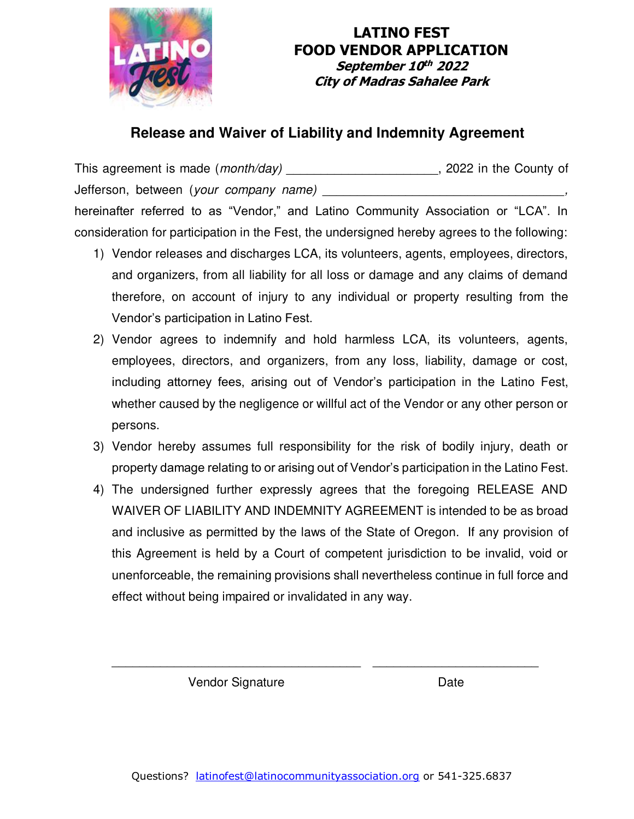

## **LATINO FEST FOOD VENDOR APPLICATION September 10 th 2022 City of Madras Sahalee Park**

# **Release and Waiver of Liability and Indemnity Agreement**

This agreement is made (*month/day*) **\_\_\_\_\_\_\_\_\_\_\_\_\_\_\_\_\_\_\_\_\_\_\_**, 2022 in the County of Jefferson, between (*your company name*) hereinafter referred to as "Vendor," and Latino Community Association or "LCA". In consideration for participation in the Fest, the undersigned hereby agrees to the following:

- 1) Vendor releases and discharges LCA, its volunteers, agents, employees, directors, and organizers, from all liability for all loss or damage and any claims of demand therefore, on account of injury to any individual or property resulting from the Vendor's participation in Latino Fest.
- 2) Vendor agrees to indemnify and hold harmless LCA, its volunteers, agents, employees, directors, and organizers, from any loss, liability, damage or cost, including attorney fees, arising out of Vendor's participation in the Latino Fest, whether caused by the negligence or willful act of the Vendor or any other person or persons.
- 3) Vendor hereby assumes full responsibility for the risk of bodily injury, death or property damage relating to or arising out of Vendor's participation in the Latino Fest.
- 4) The undersigned further expressly agrees that the foregoing RELEASE AND WAIVER OF LIABILITY AND INDEMNITY AGREEMENT is intended to be as broad and inclusive as permitted by the laws of the State of Oregon. If any provision of this Agreement is held by a Court of competent jurisdiction to be invalid, void or unenforceable, the remaining provisions shall nevertheless continue in full force and effect without being impaired or invalidated in any way.

Vendor Signature **Date** 

\_\_\_\_\_\_\_\_\_\_\_\_\_\_\_\_\_\_\_\_\_\_\_\_\_\_\_\_\_\_\_\_\_\_\_\_ \_\_\_\_\_\_\_\_\_\_\_\_\_\_\_\_\_\_\_\_\_\_\_\_